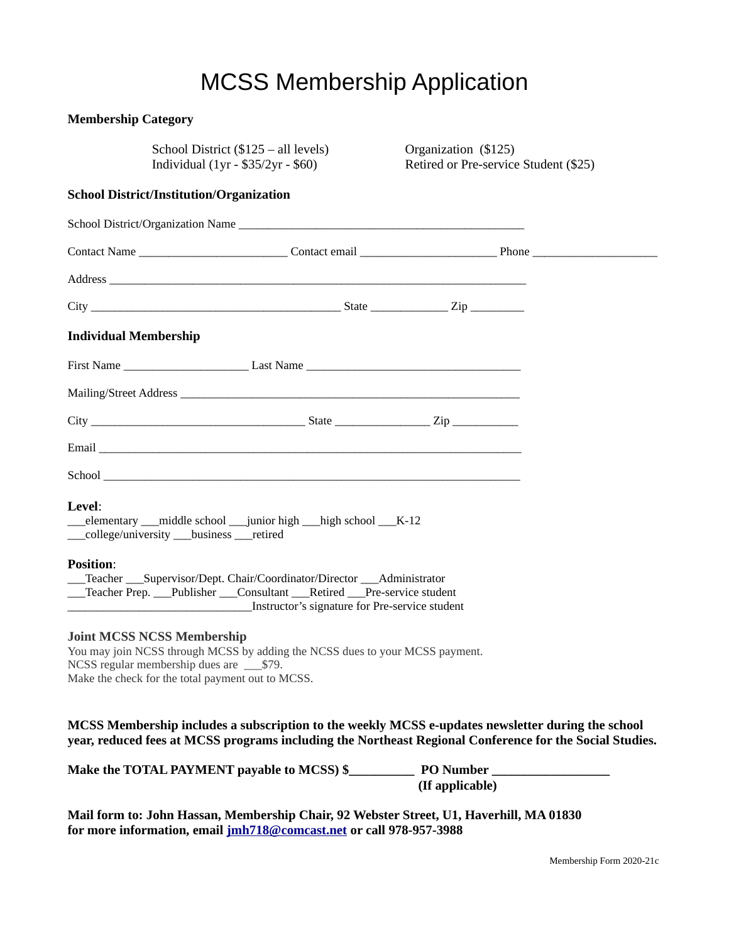## MCSS Membership Application

| <b>Membership Category</b>   |                                                                                                                                                                                                                                      |  |                      |                                       |  |
|------------------------------|--------------------------------------------------------------------------------------------------------------------------------------------------------------------------------------------------------------------------------------|--|----------------------|---------------------------------------|--|
|                              | School District (\$125 – all levels)<br>Individual $(1yr - $35/2yr - $60)$                                                                                                                                                           |  | Organization (\$125) | Retired or Pre-service Student (\$25) |  |
|                              | <b>School District/Institution/Organization</b>                                                                                                                                                                                      |  |                      |                                       |  |
|                              |                                                                                                                                                                                                                                      |  |                      |                                       |  |
|                              |                                                                                                                                                                                                                                      |  |                      |                                       |  |
|                              |                                                                                                                                                                                                                                      |  |                      |                                       |  |
|                              |                                                                                                                                                                                                                                      |  |                      |                                       |  |
| <b>Individual Membership</b> |                                                                                                                                                                                                                                      |  |                      |                                       |  |
|                              | First Name _______________________________Last Name _____________________________                                                                                                                                                    |  |                      |                                       |  |
|                              |                                                                                                                                                                                                                                      |  |                      |                                       |  |
|                              | $\text{City}$ $\qquad \qquad \text{City}$ $\qquad \qquad \text{Size}$                                                                                                                                                                |  |                      |                                       |  |
|                              | Email <u>Finance and the contract of the contract of the contract of the contract of the contract of the contract of the contract of the contract of the contract of the contract of the contract of the contract of the contrac</u> |  |                      |                                       |  |
|                              |                                                                                                                                                                                                                                      |  |                      |                                       |  |
| <b>Level:</b>                | elementary __middle school __junior high __high school __K-12<br>__college/university ___business ___retired                                                                                                                         |  |                      |                                       |  |
| <b>Position:</b>             | Teacher ___ Supervisor/Dept. Chair/Coordinator/Director ___ Administrator<br>_Teacher Prep. ___Publisher ___Consultant ___Retired ___Pre-service student<br>Instructor's signature for Pre-service student                           |  |                      |                                       |  |
|                              | <b>Joint MCSS NCSS Membership</b><br>You may join NCSS through MCSS by adding the NCSS dues to your MCSS payment.<br>NCSS regular membership dues are ____\$79.<br>Make the check for the total payment out to MCSS.                 |  |                      |                                       |  |

**MCSS Membership includes a subscription to the weekly MCSS e-updates newsletter during the school year, reduced fees at MCSS programs including the Northeast Regional Conference for the Social Studies.**

| Make the TOTAL PAYMENT payable to MCSS) \$ | <b>PO</b> Number |
|--------------------------------------------|------------------|
|                                            | (If applicable)  |

**Mail form to: John Hassan, Membership Chair, 92 Webster Street, U1, Haverhill, MA 01830 for more information, email [jmh718@comcast.net](mailto:jmh718@comcast.net) or call 978-957-3988**